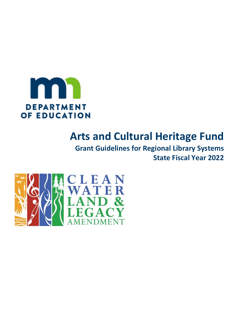

# **Arts and Cultural Heritage Fund**

**Grant Guidelines for Regional Library Systems State Fiscal Year 2022**

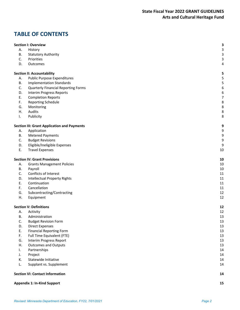# **TABLE OF CONTENTS**

|    | <b>Section I: Overview</b>                         | 3                           |
|----|----------------------------------------------------|-----------------------------|
| Α. | History                                            | $\ensuremath{\mathsf{3}}$   |
| В. | <b>Statutory Authority</b><br>Priorities           | $\mathsf{3}$<br>$\mathsf 3$ |
| C. |                                                    |                             |
| D. | Outcomes                                           | 4                           |
|    | <b>Section II: Accountability</b>                  | 5                           |
| А. | <b>Public Purpose Expenditures</b>                 | 5                           |
| В. | <b>Implementation Standards</b>                    | 5                           |
| C. | <b>Quarterly Financial Reporting Forms</b>         | 6                           |
| D. | Interim Progress Reports                           | 6                           |
| Ε. | <b>Completion Reports</b>                          | $\boldsymbol{7}$            |
| F. | Reporting Schedule                                 | 8                           |
| G. | Monitoring                                         | 8                           |
| Η. | Audits                                             | 8                           |
| I. | Publicity                                          | 8                           |
|    | <b>Section III: Grant Application and Payments</b> | 9                           |
| Α. | Application                                        | 9                           |
| В. | <b>Metered Payments</b>                            | 9                           |
| C. | <b>Budget Revisions</b>                            | 9                           |
| D. | Eligible/Ineligible Expenses                       | 9                           |
| Ε. | <b>Travel Expenses</b>                             | 10                          |
|    |                                                    |                             |
|    | <b>Section IV: Grant Provisions</b>                | 10                          |
| А. | <b>Grants Management Policies</b>                  | 10                          |
| В. | Payroll                                            | 10                          |
| C. | Conflicts of Interest                              | 11                          |
| D. | <b>Intellectual Property Rights</b>                | 11                          |
| Ε. | Continuation                                       | 11                          |
| F. | Cancellation                                       | 11                          |
| G. | Subcontracting/Contracting                         | 12                          |
| Η. | Equipment                                          | 12                          |
|    | <b>Section V: Definitions</b>                      | 12                          |
| А. | Activity                                           | 12                          |
| В. | Administration                                     | 13                          |
| C. | <b>Budget Revision Form</b>                        | 13                          |
| D. | <b>Direct Expenses</b>                             | 13                          |
| Ε. | <b>Financial Reporting Form</b>                    | 13                          |
| F. | Full Time Equivalent (FTE)                         | 13                          |
| G. | Interim Progress Report                            | 13                          |
| Η. | <b>Outcomes and Outputs</b>                        | 13                          |
| I. | Partnerships                                       | 14                          |
| J. | Project                                            | 14                          |
| К. | Statewide Initiative                               | 14                          |
| L. | Supplant vs. Supplement                            | 14                          |
|    | <b>Section VI: Contact Information</b>             | 14                          |
|    |                                                    |                             |
|    |                                                    |                             |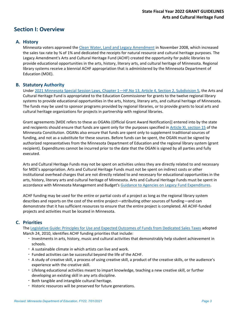# **Section I: Overview**

## **A. History**

Minnesota voters approved the [Clean Water, Land and Legacy Amendment](http://www.house.leg.state.mn.us/hrd/pubs/artculthf.pdf) in November 2008, which increased the sales tax rate by ⅜ of 1% and dedicated the receipts for natural resource and cultural heritage purposes. The Legacy Amendment's Arts and Cultural Heritage Fund (ACHF) created the opportunity for public libraries to provide educational opportunities in the arts, history, literary arts, and cultural heritage of Minnesota. Regional library systems receive a biennial ACHF appropriation that is administered by the Minnesota Department of Education (MDE).

#### **B. Statutory Authority**

Under 2021 [Minnesota Special Session Laws, Chapter 1—HF.No 13, Article 4, Section 2, Subdivision 5,](https://www.revisor.mn.gov/laws/2021/1/Session+Law/Chapter/1/) the Arts and Cultural Heritage Fund is appropriated to the Education Commissioner for grants to the twelve regional library systems to provide educational opportunities in the arts, history, literary arts, and cultural heritage of Minnesota. The funds may be used to sponsor programs provided by regional libraries, or to provide grants to local arts and cultural heritage organizations for projects in partnership with regional libraries.

Grant agreements [MDE refers to these as OGANs (Official Grant Award Notification)] entered into by the state and recipients should ensure that funds are spent only for the purposes specified in [Article XI, section 15](https://www.revisor.mn.gov/constitution/#article_11) of the Minnesota Constitution. OGANs also ensure that funds are spent only to supplement traditional sources of funding, and not as a substitute for these sources. Before funds can be spent, the OGAN must be signed by authorized representatives from the Minnesota Department of Education and the regional library system (grant recipient). Expenditures cannot be incurred prior to the date that the OGAN is signed by all parties and fully executed.

Arts and Cultural Heritage Funds may not be spent on activities unless they are directly related to and necessary for MDE's appropriation. Arts and Cultural Heritage Funds must not be spent on indirect costs or other institutional overhead charges that are not directly related to and necessary for educational opportunities in the arts, history, literary arts and cultural heritage of Minnesota. Arts and Cultural Heritage Funds must be spent in accordance with Minnesota Management and Budget's [Guidance to Agencies on Legacy Fund Expenditures.](https://www.leg.state.mn.us/docs/2015/mandated/150779.pdf)

ACHF funding may be used for the entire or partial costs of a project as long as the regional library system describes and reports on the cost of the entire project—attributing other sources of funding—and can demonstrate that it has sufficient resources to ensure that the entire project is completed. All ACHF-funded projects and activities must be located in Minnesota.

## **C. Priorities**

Th[e Legislative Guide: Principles for Use and Expected Outcomes of Funds from Dedicated Sales Taxes](http://www.legacy.leg.mn/sites/default/files/resources/HouseLegislativeGuide.pdf) adopted March 24, 2010, identifies ACHF funding priorities that include:

- Investments in arts, history, music and cultural activities that demonstrably help student achievement in schools.
- A sustainable climate in which artists can live and work.
- Funded activities can be successful beyond the life of the ACHF.
- A study of creative skill, a process of using creative skill, a product of the creative skills, or the audience's experience with the creative skill.
- Lifelong educational activities meant to impart knowledge, teaching a new creative skill, or further developing an existing skill in any arts discipline.
- Both tangible and intangible cultural heritage.
- Historic resources will be preserved for future generations.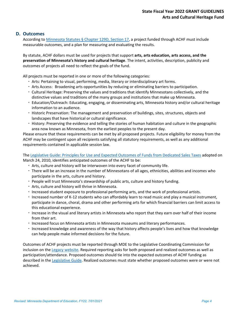#### **D. Outcomes**

According to [Minnesota Statutes § Chapter 129D, Section 17,](https://www.revisor.mn.gov/statutes/?id=129D.17) a project funded through ACHF must include measurable outcomes, and a plan for measuring and evaluating the results.

By statute, ACHF dollars must be used for projects that support **arts, arts education, arts access, and the preservation of Minnesota's history and cultural heritage**. The intent, activities, description, publicity and outcomes of projects all need to reflect the goals of the fund.

All projects must be reported in one or more of the following categories:

- Arts: Pertaining to visual, performing, media, literary or interdisciplinary art forms.
- Arts Access: Broadening arts opportunities by reducing or eliminating barriers to participation.
- Cultural Heritage: Preserving the values and traditions that identify Minnesotans collectively, and the distinctive values and traditions of the many groups and institutions that make up Minnesota.
- Education/Outreach: Educating, engaging, or disseminating arts, Minnesota history and/or cultural heritage information to an audience.
- Historic Preservation: The management and preservation of buildings, sites, structures, objects and landscapes that have historical or cultural significance.
- History: Preserving the evidence and telling the stories of human habitation and culture in the geographic area now known as Minnesota, from the earliest peoples to the present day.

Please ensure that these requirements can be met by all proposed projects. Future eligibility for money from the ACHF may be contingent upon all recipients satisfying all statutory requirements, as well as any additional requirements contained in applicable session law.

Th[e Legislative Guide: Principles for Use and Expected Outcomes of Funds from Dedicated Sales Taxes](http://www.legacy.leg.mn/sites/default/files/resources/HouseLegislativeGuide.pdf) adopted on March 24, 2010, identifies anticipated outcomes of the ACHF to be:

- Arts, culture and history will be interwoven into every facet of community life.
- There will be an increase in the number of Minnesotans of all ages, ethnicities, abilities and incomes who participate in the arts, culture and history.
- People will trust Minnesota's stewardship of public arts, culture and history funding.
- Arts, culture and history will thrive in Minnesota.
- Increased student exposure to professional performing arts, and the work of professional artists.
- Increased number of K-12 students who can affordably learn to read music and play a musical instrument, participate in dance, choral, drama and other performing arts for which financial barriers can limit access to this educational experience.
- Increase in the visual and literary artists in Minnesota who report that they earn over half of their income from their art.
- Increased focus on Minnesota artists in Minnesota museums and literary performances.
- Increased knowledge and awareness of the way that history affects people's lives and how that knowledge can help people make informed decisions for the future.

Outcomes of ACHF projects must be reported through MDE to the Legislative Coordinating Commission for inclusion on the [Legacy website.](http://www.legacy.leg.mn/) Required reporting asks for both proposed and realized outcomes as well as participation/attendance. Proposed outcomes should tie into the expected outcomes of ACHF funding as described in the [Legislative Guide.](http://www.legacy.leg.mn/sites/default/files/resources/HouseLegislativeGuide.pdf) Realized outcomes must state whether proposed outcomes were or were not achieved.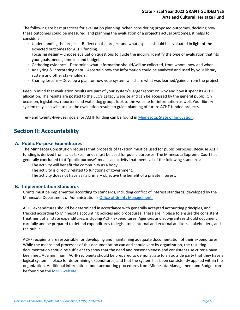The following are best practices for evaluation planning. When considering proposed outcomes, deciding how these outcomes could be measured, and planning the evaluation of a project's actual outcomes, it helps to consider:

- Understanding the project Reflect on the project and what aspects should be evaluated in light of the expected outcomes for ACHF funding.
- Focusing design Choose evaluation questions to guide the inquiry. Identify the type of evaluation that fits your goals, needs, timeline and budget.
- Gathering evidence Determine what information should/will be collected, from whom, how and when.
- Analyzing & interpreting data Ascertain how the information could be analyzed and used by your library system and other stakeholders.
- Sharing lessons Develop a plan for how your system will share what was learned/gained from the project.

Keep in mind that evaluation results are part of your system's larger report on why and how it spent its ACHF allocation. The results are posted to the LCC's Legacy website and can be accessed by the general public. On occasion, legislators, reporters and watchdog groups look to the website for information as well. Your library system may also wish to use the evaluation results to guide planning of future ACHF-funded projects.

Ten- and twenty-five-year goals for ACHF funding can be found in Minnesota: [State of Innovation.](http://www.legacy.leg.mn/sites/default/files/resources/ACHFFinal.pdf)

## **Section II: Accountability**

#### **A. Public Purpose Expenditures**

The Minnesota Constitution requires that proceeds of taxation must be used for public purposes. Because ACHF funding is derived from sales taxes, funds must be used for public purposes. The Minnesota Supreme Court has generally concluded that "public purpose" means an activity that meets all of the following standards:

- The activity will benefit the community as a body.
- The activity is directly related to functions of government.
- The activity does not have as its primary objective the benefit of a private interest.

#### **B. Implementation Standards**

Grants must be implemented according to standards, including conflict of interest standards, developed by the Minnesota Department of Administration's [Office of Grants Management.](http://www.mn.gov/admin/government/grants/)

ACHF expenditures should be determined in accordance with generally accepted accounting principles, and tracked according t[o Minnesota accounting policies and procedures.](http://www.mn.gov/mmb/accounting/state-financial-policies/index.jsp) These are in place to ensure the consistent treatment of all state expenditures, including ACHF expenditures. Agencies and sub-grantees should document carefully and be prepared to defend expenditures to legislators, internal and external auditors, stakeholders, and the public.

ACHF recipients are responsible for developing and maintaining adequate documentation of their expenditures. While the means and processes of this documentation can and should vary by organization, the resulting documentation should be sufficient to show that the need and reasonableness and consistent use criteria have been met. At a minimum, ACHF recipients should be prepared to demonstrate to an outside party that they have a logical system in place for determining expenditures, and that the system has been consistently applied within the organization. Additional information about accounting procedures from Minnesota Management and Budget can be found on th[e MMB website.](https://mn.gov/mmb/assets/MMB%20Final%20Legacy%20Fund%20Guidance%20Update%20Feb%209%202017_tcm1059-282041.pdf)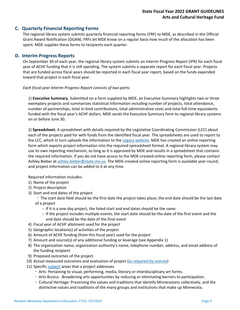#### **C. Quarterly Financial Reporting Forms**

The regional library system submits quarterly financial reporting forms (FRF) to MDE, as described in the Official Grant Award Notification (OGAN). FRFs let MDE know on a regular basis how much of the allocation has been spent. MDE supplies these forms to recipients each quarter.

#### **D. Interim Progress Reports**

On September 30 of each year, the regional library system submits an Interim Progress Report (IPR) for each fiscal year of ACHF funding that it is still spending. The system submits a separate report for each fiscal year. Projects that are funded across fiscal years should be reported in each fiscal year report, based on the funds expended toward that project in each fiscal year.

#### *Each fiscal year Interim Progress Report consists of two parts:*

1) **Executive Summary.** Submitted on a form supplied by MDE, an Executive Summary highlights two or three exemplary projects and summarizes statistical information including number of projects, total attendance, number of partnerships, total in-kind contributions, total administrative costs and total full-time equivalents funded with the fiscal year's ACHF dollars. MDE sends the Executive Summary form to regional library systems on or before June 30.

2) **Spreadsheet.** A spreadsheet with details required by the Legislative Coordinating Commission (LCC) about each of the projects paid for with funds from the identified fiscal year. The spreadsheets are used to report to the LCC, which in turn uploads the information to th[e Legacy website.](http://www.legacy.leg.mn/) MDE has created an online reporting form which exports project information into the required spreadsheet format. A regional library system may use its own reporting mechanism, so long as it is approved by MDE and results in a spreadsheet that contains the required information. If you do not have access to the MDE-created online reporting form, please contact Ashley Bieber at [ashley.bieber@state.mn.us.](mailto:ashley.bieber@state.mn.us) The MDE-created online reporting form is available year-round, and project information can be added to it at any time.

Required information includes:

- 1) Name of the project
- 2) Project description
- 3) Start and end dates of the project
	- The start date field should be the first date the project takes place; the end date should be the last date of a project
		- If it is a one-day project, the listed start and end dates should be the same
		- If the project includes multiple events, the start date should be the date of the first event and the end date should be the date of the final event
- 4) Fiscal year of ACHF allotment used for the project
- 5) Geographic location(s) of activities of the project
- 6) Amount of ACHF funding (from this fiscal year) used for the project
- 7) Amount and source(s) of any additional funding or leverage (see Appendix 1)
- 8) The organization name, organization authority's name, telephone number, address, and email address of the funding recipient
- 9) Proposed outcomes of the project
- 10) Actual measured outcomes and evaluation of project [\(as required by statute\)](https://www.revisor.mn.gov/statutes/?id=129D.17)
- 11) Specific [subject](http://www.legacy.leg.mn/subject-glossary) areas that a project addresses
	- Arts: Pertaining to visual, performing, media, literary or interdisciplinary art forms.
	- Arts Access: Broadening arts opportunities by reducing or eliminating barriers to participation.
	- Cultural Heritage: Preserving the values and traditions that identify Minnesotans collectively, and the distinctive values and traditions of the many groups and institutions that make up Minnesota.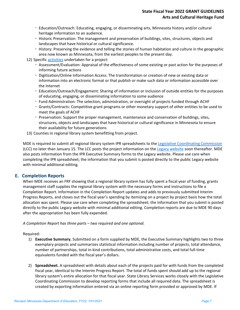- Education/Outreach: Educating, engaging, or disseminating arts, Minnesota history and/or cultural heritage information to an audience.
- Historic Preservation: The management and preservation of buildings, sites, structures, objects and landscapes that have historical or cultural significance.
- History: Preserving the evidence and telling the stories of human habitation and culture in the geographic area now known as Minnesota, from the earliest peoples to the present day.
- 12) Specific [activities](http://www.legacy.leg.mn/activities-glossary) undertaken for a project:
	- Assessment/Evaluation: Appraisal of the effectiveness of some existing or past action for the purposes of informing future actions
	- Digitization/Online Information Access: The transformation or creation of new or existing data or information into an electronic format or that publish or make such data or information accessible over the Internet
	- Education/Outreach/Engagement: Sharing of information or inclusion of outside entities for the purposes of educating, engaging, or disseminating information to some audience
	- Fund Administration: The selection, administration, or oversight of projects funded through ACHF
	- Grants/Contracts: Competitive grant programs or other monetary support of other entities to be used to meet the goals of ACHF
	- Preservation: Support the proper management, maintenance and conservation of buildings, sites, structures, objects and landscapes that have historical or cultural significance in Minnesota to ensure their availability for future generations
- 13) Counties in regional library system benefitting from project.

MDE is required to submit all regional library system IPR spreadsheets to the [Legislative Coordinating Commission](https://www.revisor.mn.gov/statutes/?id=3.303) (LCC) no later than January 15. The LCC posts the project information on the [Legacy website](http://www.legacy.leg.mn/) soon thereafter. MDE also posts information from the IPR Executive Summary forms to the Legacy website. Please use care when completing the IPR spreadsheet; the information that you submit is posted directly to the public Legacy website with minimal additional editing.

#### **E. Completion Reports**

When MDE receives an FRF showing that a regional library system has fully spent a fiscal year of funding, grants management staff supplies the regional library system with the necessary forms and instructions to file a Completion Report. Information in the Completion Report updates and adds to previously submitted Interim Progress Reports, and closes out the fiscal year's spending by itemizing on a project by project basis how the total allocation was spent. Please use care when completing the spreadsheet; the information that you submit is posted directly to the public Legacy website with minimal additional editing. Completion reports are due to MDE 90 days after the appropriation has been fully expended.

#### *A Completion Report has three parts – two required and one optional.*

Required:

- 1) **Executive Summary.** Submitted on a form supplied by MDE, the Executive Summary highlights two to three exemplary projects and summarizes statistical information including number of projects, total attendance, number of partnerships, total in-kind contributions, total administrative costs, and total full-time equivalents funded with the fiscal year's dollars.
- 2) **Spreadsheet.** A spreadsheet with details about each of the projects paid for with funds from the completed fiscal year, identical to the Interim Progress Report. The total of funds spent should add up to the regional library system's entire allocation for that fiscal year. State Library Services works closely with the Legislative Coordinating Commission to develop reporting forms that include all required data. The spreadsheet is created by exporting information entered via an online reporting form provided or approved by MDE. If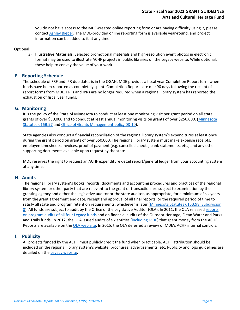you do not have access to the MDE-created online reporting form or are having difficulty using it, please contact [Ashley Bieber.](mailto:ashley.bieber@state.mn.us) The MDE-provided online reporting form is available year-round, and project information can be added to it at any time.

#### Optional:

3) **Illustrative Materials.** Selected promotional materials and high-resolution event photos in electronic format may be used to illustrate ACHF projects in public libraries on the Legacy website. While optional, these help to convey the value of your work.

#### **F. Reporting Schedule**

The schedule of FRF and IPR due dates is in the OGAN. MDE provides a fiscal year Completion Report form when funds have been reported as completely spent. Completion Reports are due 90 days following the receipt of report forms from MDE. FRFs and IPRs are no longer required when a regional library system has reported the exhaustion of fiscal year funds.

#### **G. Monitoring**

It is the policy of the State of Minnesota to conduct at least one monitoring visit per grant period on all state grants of over \$50,000 and to conduct at least annual monitoring visits on grants of over \$250,000. [\(Minnesota](https://www.revisor.mn.gov/statutes/?id=16b.97)  [Statutes §16B.97](https://www.revisor.mn.gov/statutes/?id=16b.97) and [Office of Grants Management policy 08-10\)](http://www.mn.gov/admin/images/grants_policy_08-10.pdf).

State agencies also conduct a financial reconciliation of the regional library system's expenditures at least once during the grant period on grants of over \$50,000. The regional library system must make expense receipts, employee timesheets, invoices, proof of payment (e.g. cancelled checks, bank statements, etc.) and any other supporting documents available upon request by the state.

MDE reserves the right to request an ACHF expenditure detail report/general ledger from your accounting system at any time.

#### **H. Audits**

The regional library system's books, records, documents and accounting procedures and practices of the regional library system or other party that are relevant to the grant or transaction are subject to examination by the granting agency and either the legislative auditor or the state auditor, as appropriate, for a minimum of six years from the grant agreement end date, receipt and approval of all final reports, or the required period of time to satisfy all state and program retention requirements, whichever is later (Minnesota Statutes §16B.98, Subdivision [8\)](https://www.revisor.mn.gov/statutes/?id=16b.98). All funds are subject to audit by the Office of the Legislative Auditor (OLA). In 2011, the OLA released [reports](http://www.auditor.leg.state.mn.us/ped/2011/legacysum.htm)  [on program audits of all four Legacy funds](http://www.auditor.leg.state.mn.us/ped/2011/legacysum.htm) and on financial audits of the Outdoor Heritage, Clean Water and Parks and Trails funds. In 2012, the OLA issued audits of six entities [\(including MDE\)](http://www.auditor.leg.state.mn.us/fad/pdf/fad1217.pdf) that spent money from the ACHF. Reports are available on the [OLA web site.](http://www.auditor.leg.state.mn.us/) In 2015, the OLA deferred a review of MDE's ACHF internal controls.

#### **I. Publicity**

All projects funded by the ACHF must publicly credit the fund when practicable. ACHF attribution should be included on the regional library system's website, brochures, advertisements, etc. Publicity and logo guidelines are detailed on the [Legacy website.](http://www.legacy.leg.mn/legacy-logo)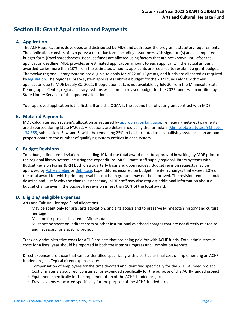# **Section III: Grant Application and Payments**

## **A. Application**

The ACHF application is developed and distributed by MDE and addresses the program's statutory requirements. The application consists of two parts: a narrative form including assurances with signature(s) and a completed budget form (Excel spreadsheet). Because funds are allotted using factors that are not known until after the application deadline, MDE provides an estimated application amount to each applicant. If the actual amount awarded varies more than 10% from the estimated amount, applicants are required to resubmit a grant budget. The twelve regional library systems are eligible to apply for 2022 ACHF grants, and funds are allocated as required by [legislation.](https://www.revisor.mn.gov/laws/?id=91&year=2017&type=0) The regional library system applicants submit a budget for the 2022 funds along with their application due to MDE by July 30, 2021. If population data is not available by July 30 from the Minnesota State Demographic Center, regional library systems will submit a revised budget for the 2022 funds when notified by State Library Services of the updated allocations.

Your approved application is the first half and the OGAN is the second half of your grant contract with MDE.

#### **B. Metered Payments**

MDE calculates each system's allocation as required by [appropriation language.](https://www.revisor.mn.gov/laws/2019/1/Session+Law/Chapter/2/) Ten equal (metered) payments are disbursed during State FY2022. Allocations are determined using the formula in Minnesota Statutes, § Chapter [134.355,](https://www.revisor.mn.gov/statutes/?id=134.355) subdivisions 3, 4, and 5, with the remaining 25% to be distributed to all qualifying systems in an amount proportionate to the number of qualifying system entities in each system.

#### **C. Budget Revisions**

Total budget line item deviations exceeding 10% of the total award must be approved in writing by MDE prior to the regional library system incurring the expenditure. MDE Grants staff supply regional library systems with Budget Revision Forms (BRF) both on a quarterly basis and upon request. Budget revision requests may be approved by [Ashley Bieber](mailto:ashley.bieber@state.mn.us) o[r Deb Rose](mailto:debra.rose@state.mn.us). Expenditures incurred on budget line item changes that exceed 10% of the total award for which prior approval has not been granted may not be approved. The revision request should describe and justify why the change is necessary. MDE staff may also request additional information about a budget change even if the budget line revision is less than 10% of the total award.

#### **D. Eligible/Ineligible Expenses**

Arts and Cultural Heritage Fund allocations

- May be spent only for arts, arts education, and arts access and to preserve Minnesota's history and cultural heritage
- Must be for projects located in Minnesota
- Must not be spent on indirect costs or other institutional overhead charges that are not directly related to and necessary for a specific project

Track only administrative costs for ACHF projects that are being paid for with ACHF funds. Total administrative costs for a fiscal year should be reported in both the Interim Progress and Completion Reports.

Direct expenses are those that can be identified specifically with a particular final cost of implementing an ACHFfunded project. Typical direct expenses are:

- Compensation of employees for the time devoted and identified specifically for the ACHF-funded project
- Cost of materials acquired, consumed, or expended specifically for the purpose of the ACHF-funded project
- Equipment specifically for the implementation of the ACHF-funded project
- Travel expenses incurred specifically for the purpose of the ACHF-funded project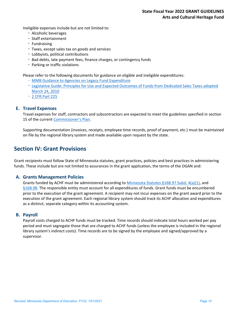Ineligible expenses include but are not limited to:

- Alcoholic beverages
- Staff entertainment
- Fundraising
- Taxes, except sales tax on goods and services
- Lobbyists, political contributions
- Bad debts, late payment fees, finance charges, or contingency funds
- Parking or traffic violations

Please refer to the following documents for guidance on eligible and ineligible expenditures:

- [MMB Guidance to Agencies on Legacy Fund Expenditure](https://mn.gov/mmb/assets/MMB%20Final%20Legacy%20Fund%20Guidance%20Update%20Feb%209%202017_tcm1059-282041.pdf)
- [Legislative Guide: Principles for Use and Expected Outcomes of Funds from Dedicated Sales Taxes adopted](http://www.legacy.leg.mn/sites/default/files/resources/HouseLegislativeGuide.pdf)  [March 24, 2010](http://www.legacy.leg.mn/sites/default/files/resources/HouseLegislativeGuide.pdf)
- [2 CFR Part 225](https://www.gpo.gov/fdsys/granule/CFR-2012-title2-vol1/CFR-2012-title2-vol1-part225/content-detail.html)

#### **E. Travel Expenses**

Travel expenses for staff, contractors and subcontractors are expected to meet the guidelines specified in section 15 of the curren[t Commissioner's Plan.](https://mn.gov/mmb/employee-relations/labor-relations/labor/commissioners-plan.jsp)

Supporting documentation (invoices, receipts, employee time records, proof of payment, etc.) must be maintained on file by the regional library system and made available upon request by the state.

## **Section IV: Grant Provisions**

Grant recipients must follow State of Minnesota statutes, grant practices, policies and best practices in administering funds. These include but are not limited to assurances in the grant application, the terms of the OGAN and:

#### **A. Grants Management Policies**

Grants funded by ACHF must be administered according to [Minnesota Statutes §16B.97 Subd. 4\(a\)\(1\),](https://www.revisor.mn.gov/statutes/?id=16b.97) and [§16B.98.](https://www.revisor.mn.gov/statutes/?id=16B.98) The responsible entity must account for all expenditures of funds. Grant funds must be encumbered prior to the execution of the grant agreement. A recipient may not incur expenses on the grant award prior to the execution of the grant agreement. Each regional library system should track its ACHF allocation and expenditures as a distinct, separate category within its accounting system.

#### **B. Payroll**

Payroll costs charged to ACHF funds must be tracked. Time records should indicate total hours worked per pay period and must segregate those that are charged to ACHF funds (unless the employee is included in the regional library system's indirect costs). Time records are to be signed by the employee and signed/approved by a supervisor.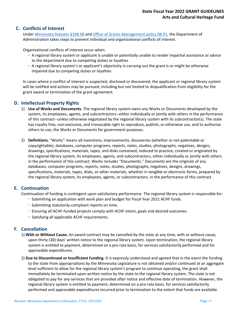## **C. Conflicts of Interest**

Under [Minnesota Statutes §16B.98](https://www.revisor.mn.gov/statutes/?id=16B.98) and [Office of Grants Management policy 08-01,](http://www.mn.gov/admin/images/grants_policy_08-01.pdf) the Department of Administration takes steps to prevent individual and organizational conflicts of interest.

Organizational conflicts of interest occur when:

- A regional library system or applicant is unable or potentially unable to render impartial assistance or advice to the department due to competing duties or loyalties
- A regional library system's or applicant's objectivity in carrying out the grant is or might be otherwise impaired due to competing duties or loyalties

In cases where a conflict of interest is suspected, disclosed or discovered, the applicant or regional library system will be notified and actions may be pursued, including but not limited to disqualification from eligibility for the grant award or termination of the grant agreement.

#### **D. Intellectual Property Rights**

- 1) **Use of Works and Documents.** The regional library system owns any Works or Documents developed by the system, its employees, agents, and subcontractors--either individually or jointly with others in the performance of this contract--unless otherwise negotiated by the regional library system with its subcontractor(s). The state has royalty free, non-exclusive, and irrevocable right to reproduce, publish, or otherwise use, and to authorize others to use, the Works or Documents for government purposes.
- 2) **Definitions.** "Works" means all inventions, improvements, discoveries (whether or not patentable or copyrightable), databases, computer programs, reports, notes, studies, photographs, negatives, designs, drawings, specifications, materials, tapes, and disks conceived, reduced to practice, created or originated by the regional library system, its employees, agents, and subcontractors, either individually or jointly with others in the performance of this contract. Works includes "Documents." Documents are the originals of any databases, computer programs, reports, notes, studies, photographs, negatives, designs, drawings, specifications, materials, tapes, disks, or other materials, whether in tangible or electronic forms, prepared by the regional library system, its employees, agents, or subcontractors, in the performance of this contract.

#### **E. Continuation**

Continuation of funding is contingent upon satisfactory performance. The regional library system is responsible for:

- Submitting an application with work plan and budget for Fiscal Year 2021 ACHF funds.
- Submitting statutorily-compliant reports on time.
- Ensuring all ACHF-funded projects comply with ACHF intent, goals and desired outcomes.
- Satisfying all applicable ACHF requirements.

#### **F. Cancellation**

- 1) **With or Without Cause.** An award contract may be cancelled by the state at any time, with or without cause, upon thirty (30) days' written notice to the regional library system. Upon termination, the regional library system is entitled to payment, determined on a pro rata basis, for services satisfactorily performed and for approvable expenditures.
- 2) **Due to Discontinued or Insufficient Funding.** It is expressly understood and agreed that in the event the funding to the state from appropriations by the Minnesota Legislature is not obtained and/or continued at an aggregate level sufficient to allow for the regional library system's program to continue operating, the grant shall immediately be terminated upon written notice by the state to the regional library system. The state is not obligated to pay for any services that are provided after notice and effective date of termination. However, the regional library system is entitled to payment, determined on a pro-rata basis, for services satisfactorily performed and approvable expenditures incurred prior to termination to the extent that funds are available.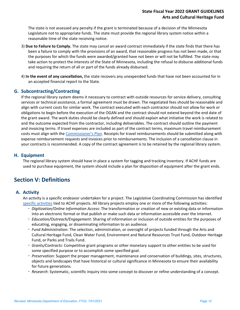The state is not assessed any penalty if the grant is terminated because of a decision of the Minnesota Legislature not to appropriate funds. The state must provide the regional library system notice within a reasonable time of the state receiving notice.

- 3) **Due to Failure to Comply.** The state may cancel an award contract immediately if the state finds that there has been a failure to comply with the provisions of an award, that reasonable progress has not been made, or that the purposes for which the funds were awarded/granted have not been or will not be fulfilled. The state may take action to protect the interests of the State of Minnesota, including the refusal to disburse additional funds and requiring the return of all or part of the funds already disbursed.
- 4) **In the event of any cancellation,** the state recovers any unexpended funds that have not been accounted for in an accepted financial report to the State.

#### **G. Subcontracting/Contracting**

If the regional library system deems it necessary to contract with outside resources for service delivery, consulting services or technical assistance, a formal agreement must be drawn. The negotiated fees should be reasonable and align with current costs for similar work. The contract executed with each contractor should not allow for work or obligations to begin before the execution of the OGAN and the contract should not extend beyond the end date of the grant award. The work duties should be clearly defined and should explain what initiative the work is related to and the outcome expected from the contractor, including deliverables. The contract should outline the payment and invoicing terms. If travel expenses are included as part of the contract terms, maximum travel reimbursement costs must align with the [Commissioner's Plan.](http://www.mmd.admin.state.mn.us/commissionersplan.htm) Receipts for travel reimbursements should be submitted along with expense reimbursement requests and invoices prior to reimbursements. The inclusion of a cancellation clause in your contracts is recommended. A copy of the contract agreement is to be retained by the regional library system.

#### **H. Equipment**

The regional library system should have in place a system for tagging and tracking inventory. If ACHF funds are used to purchase equipment, the system should include a plan for disposition of equipment after the grant ends.

# **Section V: Definitions**

#### **A. Activity**

An activity is a specific endeavor undertaken for a project. The Legislative Coordinating Commission has identified [specific activities](http://www.legacy.leg.mn/activities-glossary) tied to ACHF projects. All library projects employ one or more of the following activities:

- *Digitization/Online Information Access*: The transformation or creation of new or existing data or information into an electronic format or that publish or make such data or information accessible over the Internet.
- *Education/Outreach/Engagement*: Sharing of information or inclusion of outside entities for the purposes of educating, engaging, or disseminating information to an audience.
- *Fund Administration*: The selection, administration, or oversight of projects funded through the Arts and Cultural Heritage Fund, Clean Water Fund, Environment and Natural Resources Trust Fund, Outdoor Heritage Fund, or Parks and Trails Fund.
- *Grants/Contracts*: Competitive grant programs or other monetary support to other entities to be used for some specified purpose or to accomplish some specified goal.
- *Preservation*: Support the proper management, maintenance and conservation of buildings, sites, structures, objects and landscapes that have historical or cultural significance in Minnesota to ensure their availability for future generations.
- *Research*: Systematic, scientific inquiry into some concept to discover or refine understanding of a concept.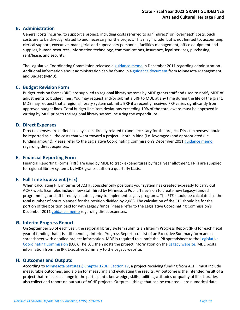#### **B. Administration**

General costs incurred to support a project, including costs referred to as "indirect" or "overhead" costs. Such costs are to be directly related to and necessary for the project. This may include, but is not limited to: accounting, clerical support, executive, managerial and supervisory personnel, facilities management, office equipment and supplies, human resources, information technology, communications, insurance, legal services, purchasing, rent/lease, and security.

The Legislative Coordinating Commission released a [guidance memo](https://drive.google.com/file/d/0B3ls96yJzWR4S1pSYTJoVGkyYWM/view?usp=sharing) in December 2011 regarding administration. Additional information about administration can be found in a [guidance document](https://mn.gov/mmb/assets/MMB%20Final%20Legacy%20Fund%20Guidance%20Update%20Feb%209%202017_tcm1059-282041.pdf) from Minnesota Management and Budget (MMB).

#### **C. Budget Revision Form**

Budget revision forms (BRF) are supplied to regional library systems by MDE grants staff and used to notify MDE of adjustments to budget lines. You may request and/or submit a BRF to MDE at any time during the life of the grant. MDE may request that a regional library system submit a BRF if a recently received FRF varies significantly from approved budget lines. Total budget line item deviations exceeding 10% of the total award must be approved in writing by MDE prior to the regional library system incurring the expenditure.

#### **D. Direct Expenses**

Direct expenses are defined as any costs directly related to and necessary for the project. Direct expenses should be reported as all the costs that went toward a project—both in-kind (i.e. leveraged) and appropriated (i.e. funding amount). Please refer to the Legislative Coordinating Commission's December 2011 [guidance memo](https://drive.google.com/file/d/0B3ls96yJzWR4S1pSYTJoVGkyYWM/view?usp=sharing) regarding direct expenses.

#### **E. Financial Reporting Form**

Financial Reporting Forms (FRF) are used by MDE to track expenditures by fiscal year allotment. FRFs are supplied to regional library systems by MDE grants staff on a quarterly basis.

#### **F. Full Time Equivalent (FTE)**

When calculating FTE in terms of ACHF, consider only positions your system has created expressly to carry out ACHF work. Examples include new staff hired by Minnesota Public Television to create new Legacy-funded programming, or staff hired by a state agency to implement Legacy programs. The FTE should be calculated as the total number of hours planned for the position divided by 2,088. The calculation of the FTE should be for the portion of the position paid for with Legacy funds. Please refer to the Legislative Coordinating Commission's December 2011 [guidance memo](https://drive.google.com/file/d/0B3ls96yJzWR4S1pSYTJoVGkyYWM/view?usp=sharing) regarding direct expenses.

#### **G. Interim Progress Report**

On September 30 of each year, the regional library system submits an Interim Progress Report (IPR) for each fiscal year of funding that it is still spending. Interim Progress Reports consist of an Executive Summary form and a spreadsheet with detailed project information. MDE is required to submit the IPR spreadsheet to the Legislative [Coordinating Commission](https://www.revisor.mn.gov/statutes/?id=3.303) (LCC). The LCC then posts the project information on the [Legacy website.](http://www.legacy.leg.mn/sites/default/files/resources/HouseLegislativeGuide.pdf) MDE posts information from the IPR Executive Summary to the Legacy website.

#### **H. Outcomes and Outputs**

According to [Minnesota Statutes § Chapter 129D, Section 17,](https://www.revisor.mn.gov/statutes/?id=129D.17) a project receiving funding from ACHF must include measurable outcomes, and a plan for measuring and evaluating the results. An outcome is the intended result of a project that reflects a change in the participant's knowledge, skills, abilities, attitudes or quality of life. Libraries also collect and report on outputs of ACHF projects. Outputs – things that can be counted – are numerical data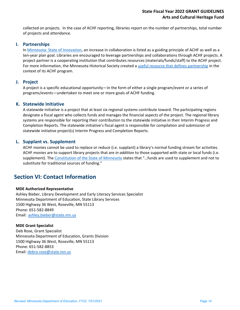collected on projects. In the case of ACHF reporting, libraries report on the number of partnerships, total number of projects and attendance.

#### **I. Partnerships**

I[n Minnesota: State of Innovation,](http://www.legacy.leg.mn/sites/default/files/resources/ACHFFinal.pdf) an increase in collaboration is listed as a guiding principle of ACHF as well as a ten-year plan goal. Libraries are encouraged to leverage partnerships and collaborations through ACHF projects. A project partner is a cooperating institution that contributes resources (materials/funds/staff) to the ACHF project. For more information, the Minnesota Historical Society created a [useful resource that defines partnership](http://legacy.mnhs.org/partnershipgrants) in the context of its ACHF program.

#### **J. Project**

A project is a specific educational opportunity—in the form of either a single program/event or a series of programs/events—undertaken to meet one or more goals of ACHF funding.

#### **K. Statewide Initiative**

A statewide initiative is a project that at least six regional systems contribute toward. The participating regions designate a fiscal agent who collects funds and manages the financial aspects of the project. The regional library systems are responsible for reporting their contribution to the statewide initiative in their Interim Progress and Completion Reports. The statewide initiative's fiscal agent is responsible for compilation and submission of statewide initiative project(s) Interim Progress and Completion Reports.

#### **L. Supplant vs. Supplement**

ACHF monies cannot be used to replace or reduce (i.e. supplant) a library's normal funding stream for activities. ACHF monies are to support library projects that are *in addition* to those supported with state or local funds (i.e. supplement). The [Constitution of the State of Minnesota](https://www.revisor.mn.gov/constitution/#article_11) states that "…funds are used to supplement and not to substitute for traditional sources of funding."

## **Section VI: Contact Information**

#### **MDE Authorized Representative**

Ashley Bieber, Library Development and Early Literacy Services Specialist Minnesota Department of Education, State Library Services 1500 Highway 36 West, Roseville, MN 55113 Phone: 651-582-8849 Email: [ashley.bieber@state.mn.us](mailto:ashley.bieber@state.mn.us)

#### **MDE Grant Specialist**

Deb Rose, Grant Specialist Minnesota Department of Education, Grants Division 1500 Highway 36 West, Roseville, MN 55113 Phone: 651-582-8853 Email: [debra.rose@state.mn.us](mailto:debra.rose@state.mn.us)